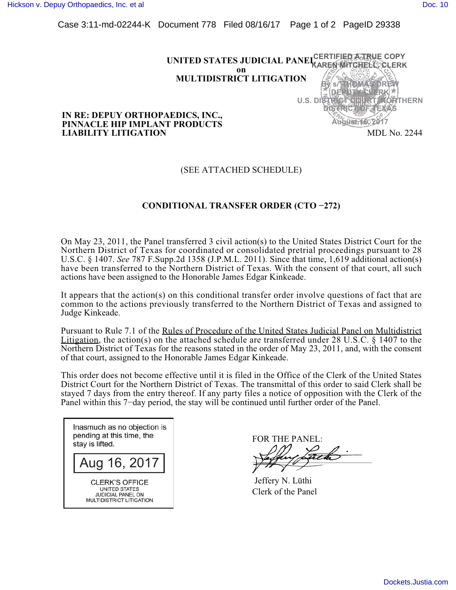[Hickson v. Depuy Orthopaedics, Inc. et al](https://dockets.justia.com/docket/georgia/gasdce/4:2017cv00128/72516/) **[Doc. 10](https://docs.justia.com/cases/federal/district-courts/georgia/gasdce/4:2017cv00128/72516/10/)** Note that the extent of the extent of the extent of the extent of the extent of the extent of the extent of the extent of the extent of the extent of the extent of the ex

Case 3:11-md-02244-K Document 778 Filed 08/16/17 Page 1 of 2 PageID 29338



#### **IN RE: DEPUY ORTHOPAEDICS, INC., PINNACLE HIP IMPLANT PRODUCTS LIABILITY LITIGATION**

## (SEE ATTACHED SCHEDULE)

# **CONDITIONAL TRANSFER ORDER (CTO -272)**

On May 23, 2011, the Panel transferred 3 civil action(s) to the United States District Court for the Northern District of Texas for coordinated or consolidated pretrial proceedings pursuant to 28 U.S.C. § 1407. *See* 787 F.Supp.2d 1358 (J.P.M.L. 2011). Since that time, 1,619 additional action(s) have been transferred to the Northern District of Texas. With the consent of that court, all such actions have been assigned to the Honorable James Edgar Kinkeade.

It appears that the action(s) on this conditional transfer order involve questions of fact that are common to the actions previously transferred to the Northern District of Texas and assigned to Judge Kinkeade.

Pursuant to Rule 7.1 of the Rules of Procedure of the United States Judicial Panel on Multidistrict Litigation, the action(s) on the attached schedule are transferred under 28 U.S.C. § 1407 to the Northern District of Texas for the reasons stated in the order of May 23, 2011, and, with the consent of that court, assigned to the Honorable James Edgar Kinkeade.

This order does not become effective until it is filed in the Office of the Clerk of the United States District Court for the Northern District of Texas. The transmittal of this order to said Clerk shall be stayed 7 days from the entry thereof. If any party files a notice of opposition with the Clerk of the Panel within this 7-day period, the stay will be continued until further order of the Panel.

Inasmuch as no objection is pending at this time, the stay is lifted.

Aug 16, 2017<br>CLERK'S OFFICE

**UNITED STATES JUDICIAL PANEL ON** MULTIDISTRICT LITIGATION

FOR THE PANEL:

 Jeffery N. Lüthi Clerk of the Panel